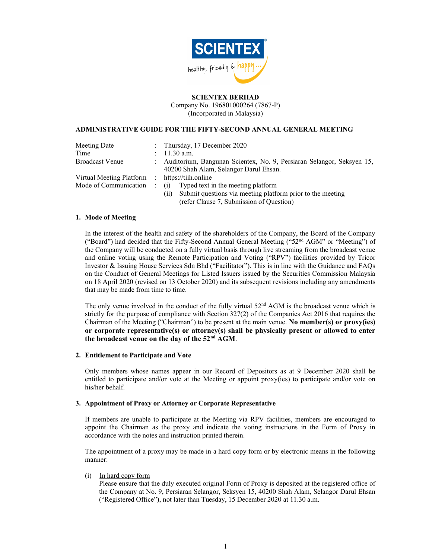

### SCIENTEX BERHAD

Company No. 196801000264 (7867-P) (Incorporated in Malaysia)

#### ADMINISTRATIVE GUIDE FOR THE FIFTY-SECOND ANNUAL GENERAL MEETING

| Meeting Date               |                           | : Thursday, $17$ December $2020$                                                                                |
|----------------------------|---------------------------|-----------------------------------------------------------------------------------------------------------------|
| Time                       | $\mathbb{R}^{\mathbb{Z}}$ | $11.30$ a.m.                                                                                                    |
| <b>Broadcast Venue</b>     | $\mathbb{R}^{\mathbb{Z}}$ | Auditorium, Bangunan Scientex, No. 9, Persiaran Selangor, Seksyen 15,<br>40200 Shah Alam, Selangor Darul Ehsan. |
| Virtual Meeting Platform : |                           | https://tiih.online                                                                                             |
| Mode of Communication:     |                           | (i) Typed text in the meeting platform                                                                          |
|                            |                           | (ii) Submit questions via meeting platform prior to the meeting<br>(refer Clause 7, Submission of Question)     |

#### 1. Mode of Meeting

In the interest of the health and safety of the shareholders of the Company, the Board of the Company ("Board") had decided that the Fifty-Second Annual General Meeting ("52nd AGM" or "Meeting") of the Company will be conducted on a fully virtual basis through live streaming from the broadcast venue and online voting using the Remote Participation and Voting ("RPV") facilities provided by Tricor Investor & Issuing House Services Sdn Bhd ("Facilitator"). This is in line with the Guidance and FAQs on the Conduct of General Meetings for Listed Issuers issued by the Securities Commission Malaysia on 18 April 2020 (revised on 13 October 2020) and its subsequent revisions including any amendments that may be made from time to time.

The only venue involved in the conduct of the fully virtual  $52<sup>nd</sup> AGM$  is the broadcast venue which is strictly for the purpose of compliance with Section 327(2) of the Companies Act 2016 that requires the Chairman of the Meeting ("Chairman") to be present at the main venue. No member(s) or proxy(ies) or corporate representative(s) or attorney(s) shall be physically present or allowed to enter the broadcast venue on the day of the 52nd AGM.

#### 2. Entitlement to Participate and Vote

Only members whose names appear in our Record of Depositors as at 9 December 2020 shall be entitled to participate and/or vote at the Meeting or appoint proxy(ies) to participate and/or vote on his/her behalf.

### 3. Appointment of Proxy or Attorney or Corporate Representative

If members are unable to participate at the Meeting via RPV facilities, members are encouraged to appoint the Chairman as the proxy and indicate the voting instructions in the Form of Proxy in accordance with the notes and instruction printed therein.

The appointment of a proxy may be made in a hard copy form or by electronic means in the following manner:

# $(i)$  In hard copy form

Please ensure that the duly executed original Form of Proxy is deposited at the registered office of the Company at No. 9, Persiaran Selangor, Seksyen 15, 40200 Shah Alam, Selangor Darul Ehsan ("Registered Office"), not later than Tuesday, 15 December 2020 at 11.30 a.m.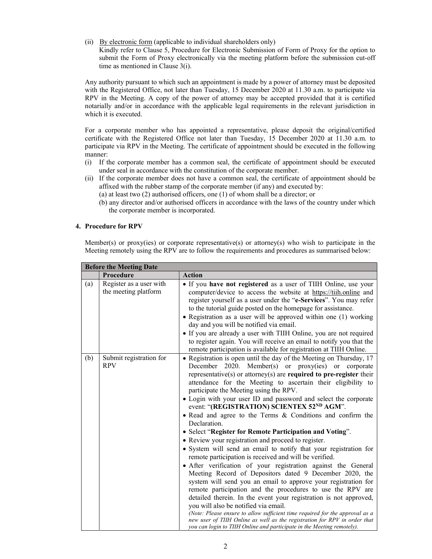(ii) By electronic form (applicable to individual shareholders only)

Kindly refer to Clause 5, Procedure for Electronic Submission of Form of Proxy for the option to submit the Form of Proxy electronically via the meeting platform before the submission cut-off time as mentioned in Clause 3(i).

Any authority pursuant to which such an appointment is made by a power of attorney must be deposited with the Registered Office, not later than Tuesday, 15 December 2020 at 11.30 a.m. to participate via RPV in the Meeting. A copy of the power of attorney may be accepted provided that it is certified notarially and/or in accordance with the applicable legal requirements in the relevant jurisdiction in which it is executed.

For a corporate member who has appointed a representative, please deposit the original/certified certificate with the Registered Office not later than Tuesday, 15 December 2020 at 11.30 a.m. to participate via RPV in the Meeting. The certificate of appointment should be executed in the following manner:

- (i) If the corporate member has a common seal, the certificate of appointment should be executed under seal in accordance with the constitution of the corporate member.
- (ii) If the corporate member does not have a common seal, the certificate of appointment should be affixed with the rubber stamp of the corporate member (if any) and executed by:
	- (a) at least two (2) authorised officers, one (1) of whom shall be a director; or
	- (b) any director and/or authorised officers in accordance with the laws of the country under which the corporate member is incorporated.

#### 4. Procedure for RPV

Member(s) or proxy(ies) or corporate representative(s) or attorney(s) who wish to participate in the Meeting remotely using the RPV are to follow the requirements and procedures as summarised below:

| <b>Before the Meeting Date</b> |                                                 |                                                                                                                                                                                                                                                                                                                                                                                                                                                                                                                                                                                                                                                                                                                                                                                                                                                                                                                                                                                                                                                                                                                                                                                                                                                                                                                                                                             |
|--------------------------------|-------------------------------------------------|-----------------------------------------------------------------------------------------------------------------------------------------------------------------------------------------------------------------------------------------------------------------------------------------------------------------------------------------------------------------------------------------------------------------------------------------------------------------------------------------------------------------------------------------------------------------------------------------------------------------------------------------------------------------------------------------------------------------------------------------------------------------------------------------------------------------------------------------------------------------------------------------------------------------------------------------------------------------------------------------------------------------------------------------------------------------------------------------------------------------------------------------------------------------------------------------------------------------------------------------------------------------------------------------------------------------------------------------------------------------------------|
|                                | Procedure                                       | <b>Action</b>                                                                                                                                                                                                                                                                                                                                                                                                                                                                                                                                                                                                                                                                                                                                                                                                                                                                                                                                                                                                                                                                                                                                                                                                                                                                                                                                                               |
| (a)                            | Register as a user with<br>the meeting platform | • If you have not registered as a user of TIIH Online, use your<br>computer/device to access the website at https://tiih.online and<br>register yourself as a user under the "e-Services". You may refer<br>to the tutorial guide posted on the homepage for assistance.<br>• Registration as a user will be approved within one (1) working<br>day and you will be notified via email.<br>• If you are already a user with TIIH Online, you are not required<br>to register again. You will receive an email to notify you that the<br>remote participation is available for registration at TIIH Online.                                                                                                                                                                                                                                                                                                                                                                                                                                                                                                                                                                                                                                                                                                                                                                  |
| (b)                            | Submit registration for<br><b>RPV</b>           | • Registration is open until the day of the Meeting on Thursday, 17<br>December 2020. Member(s) or proxy(ies) or corporate<br>representative(s) or attorney(s) are required to pre-register their<br>attendance for the Meeting to ascertain their eligibility to<br>participate the Meeting using the RPV.<br>• Login with your user ID and password and select the corporate<br>event: "(REGISTRATION) SCIENTEX 52ND AGM".<br>. Read and agree to the Terms & Conditions and confirm the<br>Declaration.<br>• Select "Register for Remote Participation and Voting".<br>• Review your registration and proceed to register.<br>• System will send an email to notify that your registration for<br>remote participation is received and will be verified.<br>• After verification of your registration against the General<br>Meeting Record of Depositors dated 9 December 2020, the<br>system will send you an email to approve your registration for<br>remote participation and the procedures to use the RPV are<br>detailed therein. In the event your registration is not approved,<br>you will also be notified via email.<br>(Note: Please ensure to allow sufficient time required for the approval as a<br>new user of TIIH Online as well as the registration for RPV in order that<br>you can login to TIIH Online and participate in the Meeting remotely). |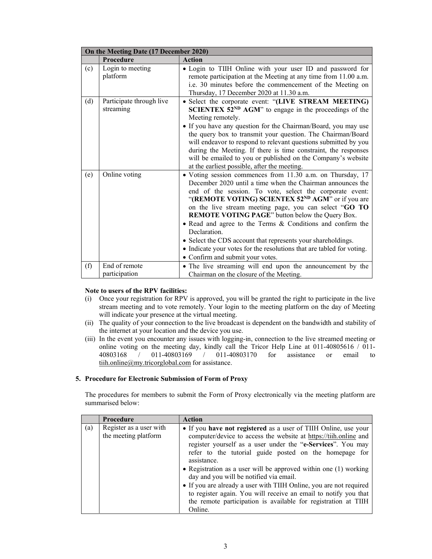| On the Meeting Date (17 December 2020) |                                       |                                                                                                                                                                                                                                                                                                                                                                                                                                                                                                                                                                                                                               |
|----------------------------------------|---------------------------------------|-------------------------------------------------------------------------------------------------------------------------------------------------------------------------------------------------------------------------------------------------------------------------------------------------------------------------------------------------------------------------------------------------------------------------------------------------------------------------------------------------------------------------------------------------------------------------------------------------------------------------------|
|                                        | Procedure                             | <b>Action</b>                                                                                                                                                                                                                                                                                                                                                                                                                                                                                                                                                                                                                 |
| (c)                                    | Login to meeting<br>platform          | • Login to TIIH Online with your user ID and password for<br>remote participation at the Meeting at any time from 11.00 a.m.<br>i.e. 30 minutes before the commencement of the Meeting on<br>Thursday, 17 December 2020 at 11.30 a.m.                                                                                                                                                                                                                                                                                                                                                                                         |
| (d)                                    | Participate through live<br>streaming | • Select the corporate event: "(LIVE STREAM MEETING)<br><b>SCIENTEX 52<sup>ND</sup></b> AGM" to engage in the proceedings of the<br>Meeting remotely.<br>• If you have any question for the Chairman/Board, you may use<br>the query box to transmit your question. The Chairman/Board<br>will endeavor to respond to relevant questions submitted by you<br>during the Meeting. If there is time constraint, the responses<br>will be emailed to you or published on the Company's website<br>at the earliest possible, after the meeting.                                                                                   |
| (e)                                    | Online voting                         | • Voting session commences from 11.30 a.m. on Thursday, 17<br>December 2020 until a time when the Chairman announces the<br>end of the session. To vote, select the corporate event:<br>"(REMOTE VOTING) SCIENTEX 52 <sup>ND</sup> AGM" or if you are<br>on the live stream meeting page, you can select "GO TO<br>REMOTE VOTING PAGE" button below the Query Box.<br>• Read and agree to the Terms & Conditions and confirm the<br>Declaration.<br>• Select the CDS account that represents your shareholdings.<br>• Indicate your votes for the resolutions that are tabled for voting.<br>• Confirm and submit your votes. |
| (f)                                    | End of remote<br>participation        | • The live streaming will end upon the announcement by the<br>Chairman on the closure of the Meeting.                                                                                                                                                                                                                                                                                                                                                                                                                                                                                                                         |

#### Note to users of the RPV facilities:

- (i) Once your registration for RPV is approved, you will be granted the right to participate in the live stream meeting and to vote remotely. Your login to the meeting platform on the day of Meeting will indicate your presence at the virtual meeting.
- (ii) The quality of your connection to the live broadcast is dependent on the bandwidth and stability of the internet at your location and the device you use.
- (iii) In the event you encounter any issues with logging-in, connection to the live streamed meeting or online voting on the meeting day, kindly call the Tricor Help Line at 011-40805616 / 011-40803168 / 011-40803169 / 011-40803170 for assistance or email to 40803168 / 011-40803169 / 011-40803170 for assistance or email to tiih.online@my.tricorglobal.com for assistance.

#### 5. Procedure for Electronic Submission of Form of Proxy

The procedures for members to submit the Form of Proxy electronically via the meeting platform are summarised below:

|     | <b>Procedure</b>                                | <b>Action</b>                                                                                                                                                                                                                                                                                                                                                                                                                                                                                                                                                                                                      |
|-----|-------------------------------------------------|--------------------------------------------------------------------------------------------------------------------------------------------------------------------------------------------------------------------------------------------------------------------------------------------------------------------------------------------------------------------------------------------------------------------------------------------------------------------------------------------------------------------------------------------------------------------------------------------------------------------|
| (a) | Register as a user with<br>the meeting platform | • If you have not registered as a user of TIIH Online, use your<br>computer/device to access the website at https://tiih.online and<br>register yourself as a user under the "e-Services". You may<br>refer to the tutorial guide posted on the homepage for<br>assistance.<br>• Registration as a user will be approved within one $(1)$ working<br>day and you will be notified via email.<br>• If you are already a user with TIIH Online, you are not required<br>to register again. You will receive an email to notify you that<br>the remote participation is available for registration at TIIH<br>Online. |